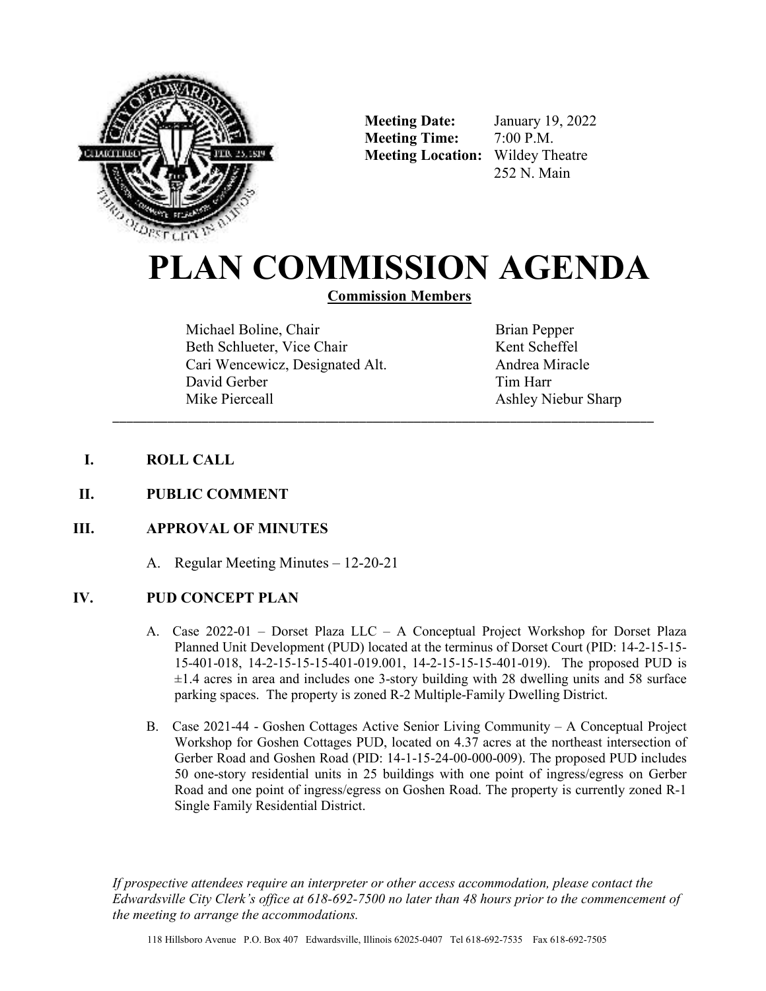

**Meeting Date:** January 19, 2022 **Meeting Time:** 7:00 P.M. **Meeting Location:** Wildey Theatre

252 N. Main

# **PLAN COMMISSION AGENDA**

**Commission Members** 

\_\_\_\_\_\_\_\_\_\_\_\_\_\_\_\_\_\_\_\_\_\_\_\_\_\_\_\_\_\_\_\_\_\_\_\_\_\_\_\_\_\_\_\_\_\_\_\_\_\_\_\_\_\_\_\_\_\_\_\_\_\_\_\_\_\_\_\_\_\_\_\_\_\_\_\_\_\_\_

Michael Boline, Chair Beth Schlueter, Vice Chair Cari Wencewicz, Designated Alt. David Gerber Mike Pierceall

Brian Pepper Kent Scheffel Andrea Miracle Tim Harr Ashley Niebur Sharp

- **I. ROLL CALL**
- **II. PUBLIC COMMENT**

## **III. APPROVAL OF MINUTES**

A. Regular Meeting Minutes – 12-20-21

## **IV. PUD CONCEPT PLAN**

- A. Case 2022-01 Dorset Plaza LLC A Conceptual Project Workshop for Dorset Plaza Planned Unit Development (PUD) located at the terminus of Dorset Court (PID: 14-2-15-15- 15-401-018, 14-2-15-15-15-401-019.001, 14-2-15-15-15-401-019). The proposed PUD is  $\pm 1.4$  acres in area and includes one 3-story building with 28 dwelling units and 58 surface parking spaces. The property is zoned R-2 Multiple-Family Dwelling District.
- B. Case 2021-44 Goshen Cottages Active Senior Living Community A Conceptual Project Workshop for Goshen Cottages PUD, located on 4.37 acres at the northeast intersection of Gerber Road and Goshen Road (PID: 14-1-15-24-00-000-009). The proposed PUD includes 50 one-story residential units in 25 buildings with one point of ingress/egress on Gerber Road and one point of ingress/egress on Goshen Road. The property is currently zoned R-1 Single Family Residential District.

*If prospective attendees require an interpreter or other access accommodation, please contact the Edwardsville City Clerk's office at 618-692-7500 no later than 48 hours prior to the commencement of the meeting to arrange the accommodations.*